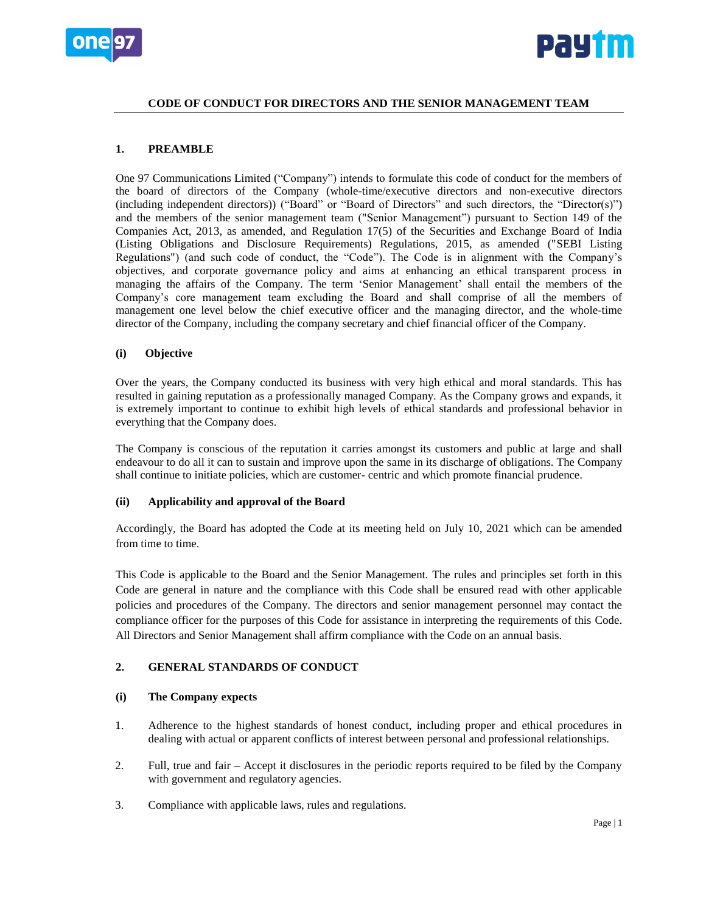



# **CODE OF CONDUCT FOR DIRECTORS AND THE SENIOR MANAGEMENT TEAM**

# **1. PREAMBLE**

One 97 Communications Limited ("Company") intends to formulate this code of conduct for the members of the board of directors of the Company (whole-time/executive directors and non-executive directors (including independent directors)) ("Board" or "Board of Directors" and such directors, the "Director(s)") and the members of the senior management team ("Senior Management") pursuant to Section 149 of the Companies Act, 2013, as amended, and Regulation 17(5) of the Securities and Exchange Board of India (Listing Obligations and Disclosure Requirements) Regulations, 2015, as amended ("SEBI Listing Regulations") (and such code of conduct, the "Code"). The Code is in alignment with the Company's objectives, and corporate governance policy and aims at enhancing an ethical transparent process in managing the affairs of the Company. The term 'Senior Management' shall entail the members of the Company's core management team excluding the Board and shall comprise of all the members of management one level below the chief executive officer and the managing director, and the whole-time director of the Company, including the company secretary and chief financial officer of the Company.

# **(i) Objective**

Over the years, the Company conducted its business with very high ethical and moral standards. This has resulted in gaining reputation as a professionally managed Company. As the Company grows and expands, it is extremely important to continue to exhibit high levels of ethical standards and professional behavior in everything that the Company does.

The Company is conscious of the reputation it carries amongst its customers and public at large and shall endeavour to do all it can to sustain and improve upon the same in its discharge of obligations. The Company shall continue to initiate policies, which are customer- centric and which promote financial prudence.

## **(ii) Applicability and approval of the Board**

Accordingly, the Board has adopted the Code at its meeting held on July 10, 2021 which can be amended from time to time.

This Code is applicable to the Board and the Senior Management. The rules and principles set forth in this Code are general in nature and the compliance with this Code shall be ensured read with other applicable policies and procedures of the Company. The directors and senior management personnel may contact the compliance officer for the purposes of this Code for assistance in interpreting the requirements of this Code. All Directors and Senior Management shall affirm compliance with the Code on an annual basis.

# **2. GENERAL STANDARDS OF CONDUCT**

## **(i) The Company expects**

- 1. Adherence to the highest standards of honest conduct, including proper and ethical procedures in dealing with actual or apparent conflicts of interest between personal and professional relationships.
- 2. Full, true and fair Accept it disclosures in the periodic reports required to be filed by the Company with government and regulatory agencies.
- 3. Compliance with applicable laws, rules and regulations.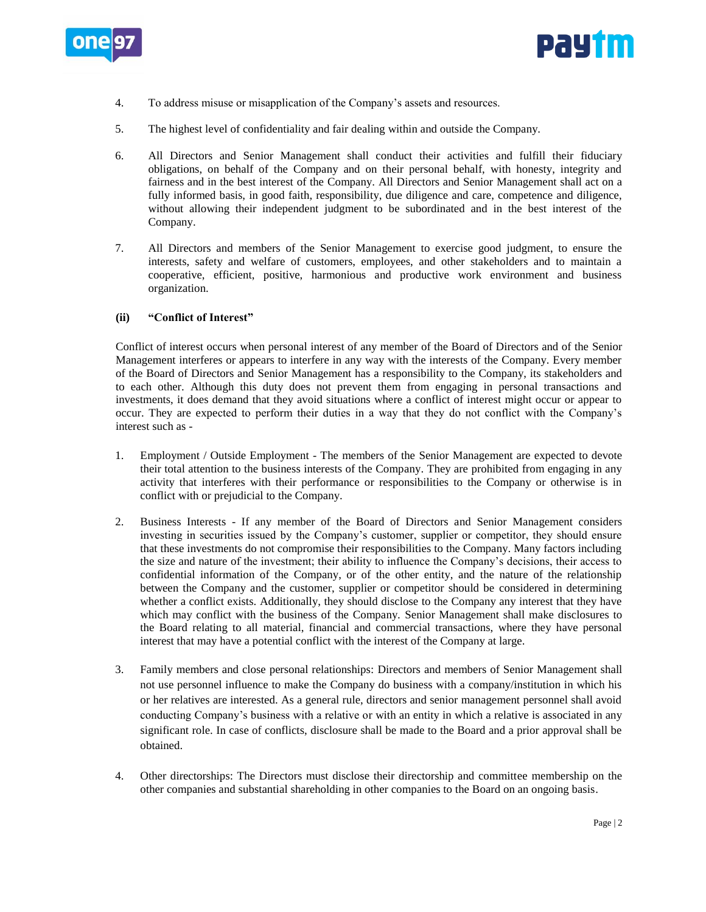



- 4. To address misuse or misapplication of the Company's assets and resources.
- 5. The highest level of confidentiality and fair dealing within and outside the Company.
- 6. All Directors and Senior Management shall conduct their activities and fulfill their fiduciary obligations, on behalf of the Company and on their personal behalf, with honesty, integrity and fairness and in the best interest of the Company. All Directors and Senior Management shall act on a fully informed basis, in good faith, responsibility, due diligence and care, competence and diligence, without allowing their independent judgment to be subordinated and in the best interest of the Company.
- 7. All Directors and members of the Senior Management to exercise good judgment, to ensure the interests, safety and welfare of customers, employees, and other stakeholders and to maintain a cooperative, efficient, positive, harmonious and productive work environment and business organization.

# **(ii) "Conflict of Interest"**

Conflict of interest occurs when personal interest of any member of the Board of Directors and of the Senior Management interferes or appears to interfere in any way with the interests of the Company. Every member of the Board of Directors and Senior Management has a responsibility to the Company, its stakeholders and to each other. Although this duty does not prevent them from engaging in personal transactions and investments, it does demand that they avoid situations where a conflict of interest might occur or appear to occur. They are expected to perform their duties in a way that they do not conflict with the Company's interest such as -

- 1. Employment / Outside Employment The members of the Senior Management are expected to devote their total attention to the business interests of the Company. They are prohibited from engaging in any activity that interferes with their performance or responsibilities to the Company or otherwise is in conflict with or prejudicial to the Company.
- 2. Business Interests If any member of the Board of Directors and Senior Management considers investing in securities issued by the Company's customer, supplier or competitor, they should ensure that these investments do not compromise their responsibilities to the Company. Many factors including the size and nature of the investment; their ability to influence the Company's decisions, their access to confidential information of the Company, or of the other entity, and the nature of the relationship between the Company and the customer, supplier or competitor should be considered in determining whether a conflict exists. Additionally, they should disclose to the Company any interest that they have which may conflict with the business of the Company. Senior Management shall make disclosures to the Board relating to all material, financial and commercial transactions, where they have personal interest that may have a potential conflict with the interest of the Company at large.
- 3. Family members and close personal relationships: Directors and members of Senior Management shall not use personnel influence to make the Company do business with a company/institution in which his or her relatives are interested. As a general rule, directors and senior management personnel shall avoid conducting Company's business with a relative or with an entity in which a relative is associated in any significant role. In case of conflicts, disclosure shall be made to the Board and a prior approval shall be obtained.
- 4. Other directorships: The Directors must disclose their directorship and committee membership on the other companies and substantial shareholding in other companies to the Board on an ongoing basis.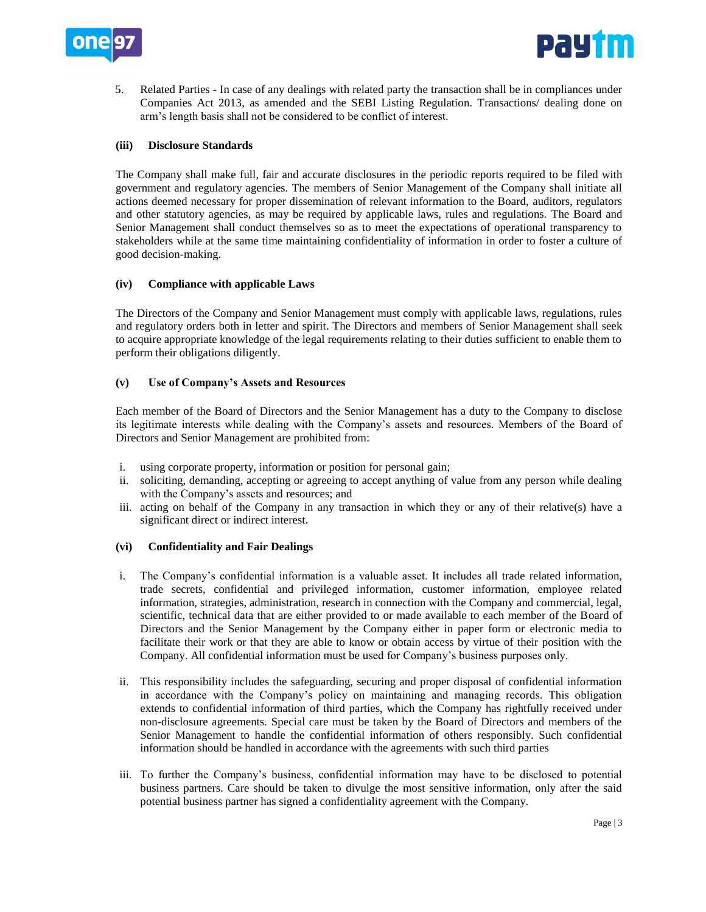

5. Related Parties - In case of any dealings with related party the transaction shall be in compliances under Companies Act 2013, as amended and the SEBI Listing Regulation. Transactions/ dealing done on arm's length basis shall not be considered to be conflict of interest.

# **(iii) Disclosure Standards**

The Company shall make full, fair and accurate disclosures in the periodic reports required to be filed with government and regulatory agencies. The members of Senior Management of the Company shall initiate all actions deemed necessary for proper dissemination of relevant information to the Board, auditors, regulators and other statutory agencies, as may be required by applicable laws, rules and regulations. The Board and Senior Management shall conduct themselves so as to meet the expectations of operational transparency to stakeholders while at the same time maintaining confidentiality of information in order to foster a culture of good decision-making.

## **(iv) Compliance with applicable Laws**

The Directors of the Company and Senior Management must comply with applicable laws, regulations, rules and regulatory orders both in letter and spirit. The Directors and members of Senior Management shall seek to acquire appropriate knowledge of the legal requirements relating to their duties sufficient to enable them to perform their obligations diligently.

## **(v) Use of Company's Assets and Resources**

Each member of the Board of Directors and the Senior Management has a duty to the Company to disclose its legitimate interests while dealing with the Company's assets and resources. Members of the Board of Directors and Senior Management are prohibited from:

- i. using corporate property, information or position for personal gain;
- ii. soliciting, demanding, accepting or agreeing to accept anything of value from any person while dealing with the Company's assets and resources; and
- iii. acting on behalf of the Company in any transaction in which they or any of their relative(s) have a significant direct or indirect interest.

# **(vi) Confidentiality and Fair Dealings**

- i. The Company's confidential information is a valuable asset. It includes all trade related information, trade secrets, confidential and privileged information, customer information, employee related information, strategies, administration, research in connection with the Company and commercial, legal, scientific, technical data that are either provided to or made available to each member of the Board of Directors and the Senior Management by the Company either in paper form or electronic media to facilitate their work or that they are able to know or obtain access by virtue of their position with the Company. All confidential information must be used for Company's business purposes only.
- ii. This responsibility includes the safeguarding, securing and proper disposal of confidential information in accordance with the Company's policy on maintaining and managing records. This obligation extends to confidential information of third parties, which the Company has rightfully received under non-disclosure agreements. Special care must be taken by the Board of Directors and members of the Senior Management to handle the confidential information of others responsibly. Such confidential information should be handled in accordance with the agreements with such third parties
- iii. To further the Company's business, confidential information may have to be disclosed to potential business partners. Care should be taken to divulge the most sensitive information, only after the said potential business partner has signed a confidentiality agreement with the Company.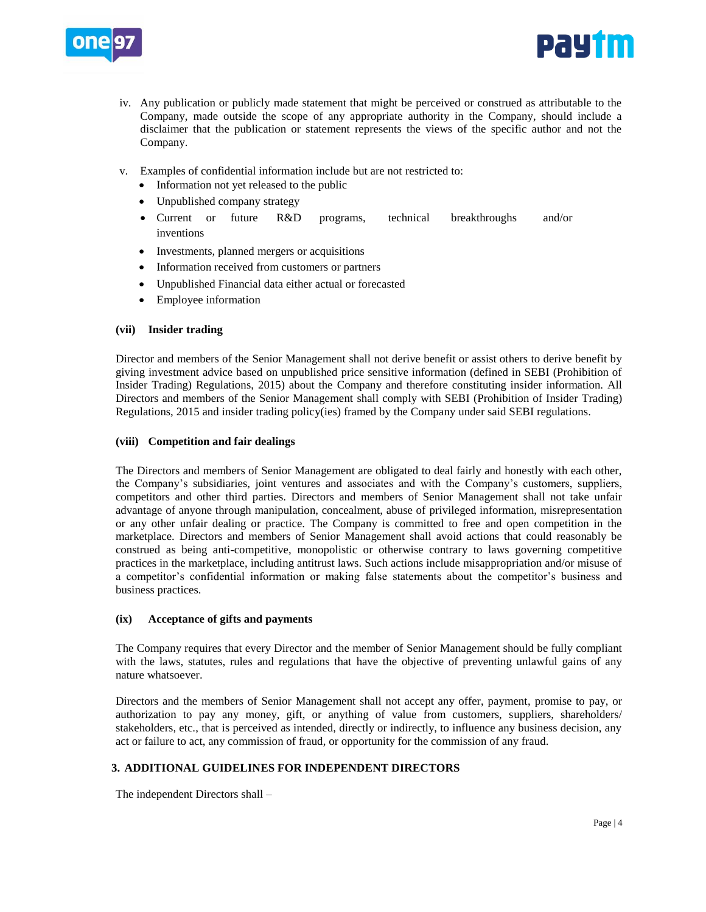



- iv. Any publication or publicly made statement that might be perceived or construed as attributable to the Company, made outside the scope of any appropriate authority in the Company, should include a disclaimer that the publication or statement represents the views of the specific author and not the Company.
- v. Examples of confidential information include but are not restricted to:
	- Information not yet released to the public
	- Unpublished company strategy
	- Current or future R&D programs, technical breakthroughs and/or inventions
	- Investments, planned mergers or acquisitions
	- Information received from customers or partners
	- Unpublished Financial data either actual or forecasted
	- Employee information

# **(vii) Insider trading**

Director and members of the Senior Management shall not derive benefit or assist others to derive benefit by giving investment advice based on unpublished price sensitive information (defined in SEBI (Prohibition of Insider Trading) Regulations, 2015) about the Company and therefore constituting insider information. All Directors and members of the Senior Management shall comply with SEBI (Prohibition of Insider Trading) Regulations, 2015 and insider trading policy(ies) framed by the Company under said SEBI regulations.

## **(viii) Competition and fair dealings**

The Directors and members of Senior Management are obligated to deal fairly and honestly with each other, the Company's subsidiaries, joint ventures and associates and with the Company's customers, suppliers, competitors and other third parties. Directors and members of Senior Management shall not take unfair advantage of anyone through manipulation, concealment, abuse of privileged information, misrepresentation or any other unfair dealing or practice. The Company is committed to free and open competition in the marketplace. Directors and members of Senior Management shall avoid actions that could reasonably be construed as being anti-competitive, monopolistic or otherwise contrary to laws governing competitive practices in the marketplace, including antitrust laws. Such actions include misappropriation and/or misuse of a competitor's confidential information or making false statements about the competitor's business and business practices.

## **(ix) Acceptance of gifts and payments**

The Company requires that every Director and the member of Senior Management should be fully compliant with the laws, statutes, rules and regulations that have the objective of preventing unlawful gains of any nature whatsoever.

Directors and the members of Senior Management shall not accept any offer, payment, promise to pay, or authorization to pay any money, gift, or anything of value from customers, suppliers, shareholders/ stakeholders, etc., that is perceived as intended, directly or indirectly, to influence any business decision, any act or failure to act, any commission of fraud, or opportunity for the commission of any fraud.

# **3. ADDITIONAL GUIDELINES FOR INDEPENDENT DIRECTORS**

The independent Directors shall –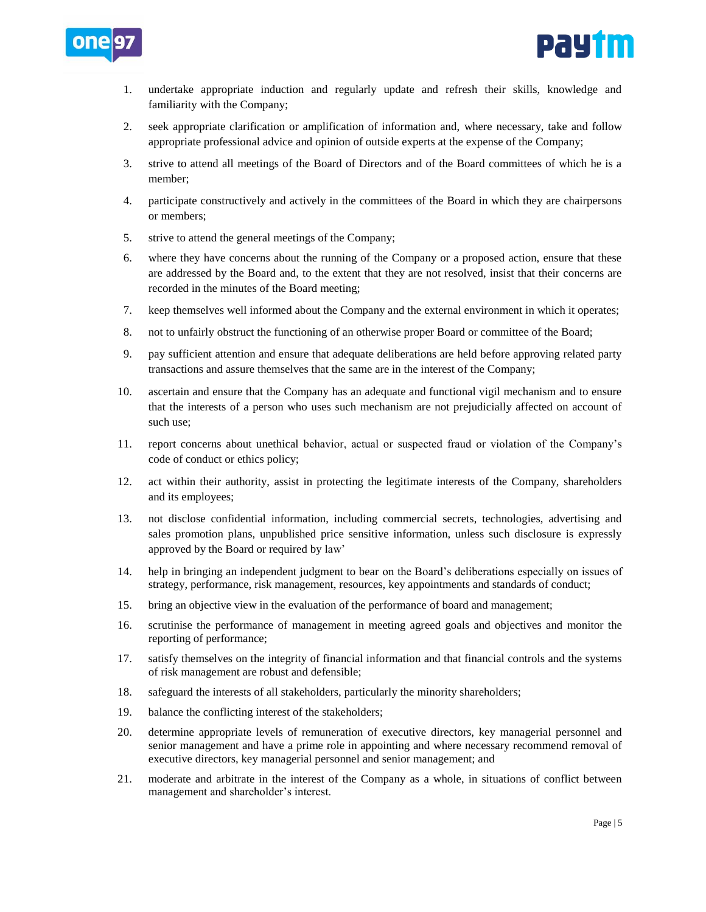



- 1. undertake appropriate induction and regularly update and refresh their skills, knowledge and familiarity with the Company;
- 2. seek appropriate clarification or amplification of information and, where necessary, take and follow appropriate professional advice and opinion of outside experts at the expense of the Company;
- 3. strive to attend all meetings of the Board of Directors and of the Board committees of which he is a member;
- 4. participate constructively and actively in the committees of the Board in which they are chairpersons or members;
- 5. strive to attend the general meetings of the Company;
- 6. where they have concerns about the running of the Company or a proposed action, ensure that these are addressed by the Board and, to the extent that they are not resolved, insist that their concerns are recorded in the minutes of the Board meeting;
- 7. keep themselves well informed about the Company and the external environment in which it operates;
- 8. not to unfairly obstruct the functioning of an otherwise proper Board or committee of the Board;
- 9. pay sufficient attention and ensure that adequate deliberations are held before approving related party transactions and assure themselves that the same are in the interest of the Company;
- 10. ascertain and ensure that the Company has an adequate and functional vigil mechanism and to ensure that the interests of a person who uses such mechanism are not prejudicially affected on account of such use;
- 11. report concerns about unethical behavior, actual or suspected fraud or violation of the Company's code of conduct or ethics policy;
- 12. act within their authority, assist in protecting the legitimate interests of the Company, shareholders and its employees;
- 13. not disclose confidential information, including commercial secrets, technologies, advertising and sales promotion plans, unpublished price sensitive information, unless such disclosure is expressly approved by the Board or required by law'
- 14. help in bringing an independent judgment to bear on the Board's deliberations especially on issues of strategy, performance, risk management, resources, key appointments and standards of conduct;
- 15. bring an objective view in the evaluation of the performance of board and management;
- 16. scrutinise the performance of management in meeting agreed goals and objectives and monitor the reporting of performance;
- 17. satisfy themselves on the integrity of financial information and that financial controls and the systems of risk management are robust and defensible;
- 18. safeguard the interests of all stakeholders, particularly the minority shareholders;
- 19. balance the conflicting interest of the stakeholders;
- 20. determine appropriate levels of remuneration of executive directors, key managerial personnel and senior management and have a prime role in appointing and where necessary recommend removal of executive directors, key managerial personnel and senior management; and
- 21. moderate and arbitrate in the interest of the Company as a whole, in situations of conflict between management and shareholder's interest.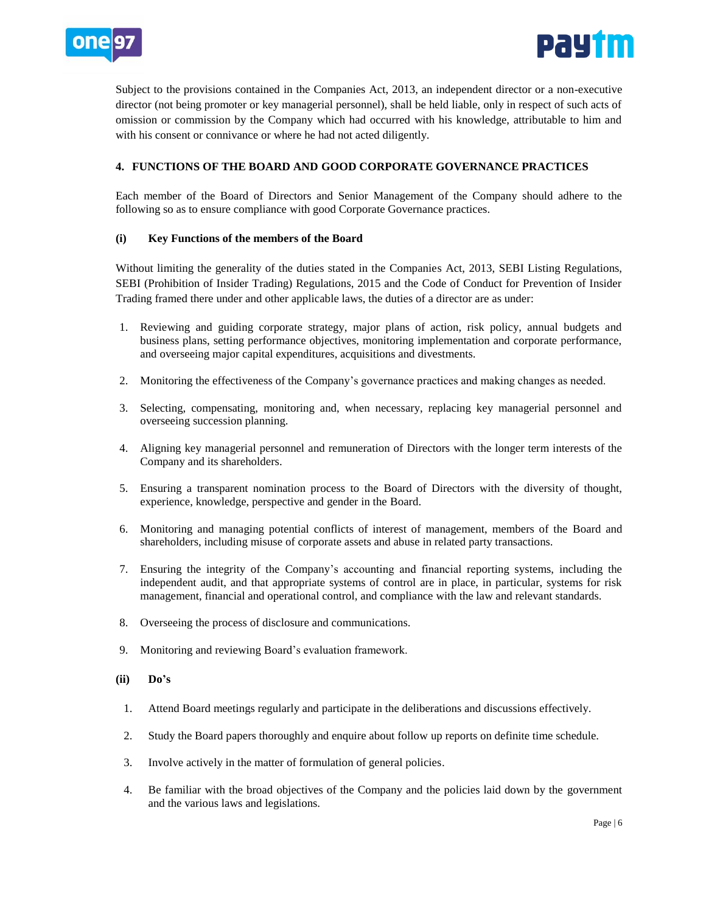



Subject to the provisions contained in the Companies Act, 2013, an independent director or a non-executive director (not being promoter or key managerial personnel), shall be held liable, only in respect of such acts of omission or commission by the Company which had occurred with his knowledge, attributable to him and with his consent or connivance or where he had not acted diligently.

# **4. FUNCTIONS OF THE BOARD AND GOOD CORPORATE GOVERNANCE PRACTICES**

Each member of the Board of Directors and Senior Management of the Company should adhere to the following so as to ensure compliance with good Corporate Governance practices.

## **(i) Key Functions of the members of the Board**

Without limiting the generality of the duties stated in the Companies Act, 2013, SEBI Listing Regulations, SEBI (Prohibition of Insider Trading) Regulations, 2015 and the Code of Conduct for Prevention of Insider Trading framed there under and other applicable laws, the duties of a director are as under:

- 1. Reviewing and guiding corporate strategy, major plans of action, risk policy, annual budgets and business plans, setting performance objectives, monitoring implementation and corporate performance, and overseeing major capital expenditures, acquisitions and divestments.
- 2. Monitoring the effectiveness of the Company's governance practices and making changes as needed.
- 3. Selecting, compensating, monitoring and, when necessary, replacing key managerial personnel and overseeing succession planning.
- 4. Aligning key managerial personnel and remuneration of Directors with the longer term interests of the Company and its shareholders.
- 5. Ensuring a transparent nomination process to the Board of Directors with the diversity of thought, experience, knowledge, perspective and gender in the Board.
- 6. Monitoring and managing potential conflicts of interest of management, members of the Board and shareholders, including misuse of corporate assets and abuse in related party transactions.
- 7. Ensuring the integrity of the Company's accounting and financial reporting systems, including the independent audit, and that appropriate systems of control are in place, in particular, systems for risk management, financial and operational control, and compliance with the law and relevant standards.
- 8. Overseeing the process of disclosure and communications.
- 9. Monitoring and reviewing Board's evaluation framework.
- **(ii) Do's**
	- 1. Attend Board meetings regularly and participate in the deliberations and discussions effectively.
	- 2. Study the Board papers thoroughly and enquire about follow up reports on definite time schedule.
	- 3. Involve actively in the matter of formulation of general policies.
- 4. Be familiar with the broad objectives of the Company and the policies laid down by the government and the various laws and legislations.